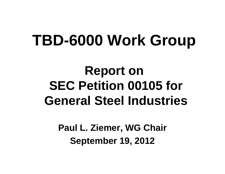# **TBD-6000 Work Group**

# **Report on SEC Petition 00105 for General Steel Industries**

**Paul L. Ziemer, WG Chair September 19, 2012**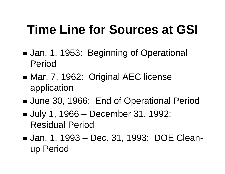# **Time Line for Sources at GSI**

- ■ Jan. 1, 1953: Beginning of Operational Period
- ■ Mar. 7, 1962: Original AEC license application
- ■ June 30, 1966: End of Operational Period
- July 1, 1966 – December 31, 1992: Residual Period
- Jan. 1, 1993 Dec. 31, 1993: DOE Clean up Period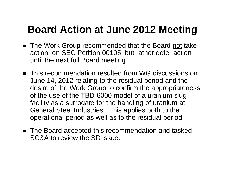### **Board Action at June 2012 Meeting**

- The Work Group recommended that the Board not take action on SEC Petition 00105, but rather defer action until the next full Board meeting.
- This recommendation resulted from WG discussions on June 14, 2012 relating to the residual period and the desire of the Work Group to confirm the appropriateness of the use of the TBD-6000 model of a uranium slug facility as a surrogate for the handling of uranium at General Steel Industries. This applies both to the operational period as well as to the residual period.
- The Board accepted this recommendation and tasked SC&A to review the SD issue.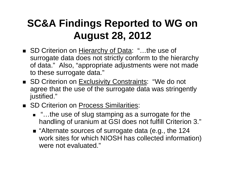## **SC&A Findings Reported to WG on August 28, 2012**

- SD Criterion on Hierarchy of Data: "...the use of surrogate data does not strictly conform to the hierarchy of data." Also, "appropriate adjustments were not made to these surrogate data."
- SD Criterion on Exclusivity Constraints: "We do not agree that the use of the surrogate data was stringently justified."
- SD Criterion on Process Similarities:
	- "…the use of slug stamping as a surrogate for the handling of uranium at GSI does not fulfill Criterion 3."
	- "Alternate sources of surrogate data (e.g., the 124 work sites for which NIOSH has collected information) were not evaluated."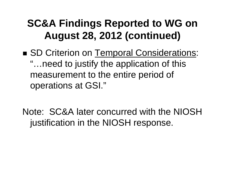### **SC&A Findings Reported to WG on August 28, 2012 (continued)**

- SD Criterion on Temporal Considerations: "…need to justify the application of this measurement to the entire period of operations at GSI."
- Note: SC&A later concurred with the NIOSH justification in the NIOSH response.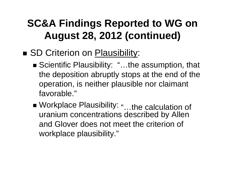## **SC&A Findings Reported to WG on August 28, 2012 (continued)**

#### SD Criterion on Plausibility:

- Scientific Plausibility: "...the assumption, that the deposition abruptly stops at the end of the operation, is neither plausible nor claimant favorable."
- Workplace Plausibility: "…the calculation of uranium concentrations described by Allen and Glover does not meet the criterion of workplace plausibility."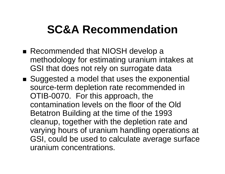# **SC&A Recommendation**

- Recommended that NIOSH develop a methodology for estimating uranium intakes at GSI that does not rely on surrogate data
- Suggested a model that uses the exponential source-term depletion rate recommended in OTIB-0070. For this approach, the contamination levels on the floor of the Old Betatron Building at the time of the 1993 cleanup, together with the depletion rate and varying hours of uranium handling operations at GSI, could be used to calculate average surface uranium concentrations.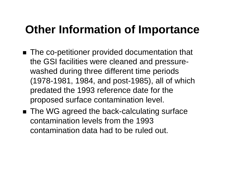# **Other Information of Importance**

- The co-petitioner provided documentation that the GSI facilities were cleaned and pressurewashed during three different time periods (1978-1981, 1984, and post-1985), all of which predated the 1993 reference date for the proposed surface contamination level.
- The WG agreed the back-calculating surface contamination levels from the 1993 contamination data had to be ruled out.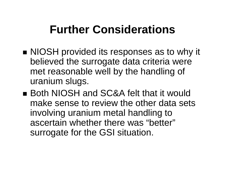# **Further Considerations**

- **NIOSH** provided its responses as to why it believed the surrogate data criteria were met reasonable well by the handling of uranium slugs.
- Both NIOSH and SC&A felt that it would make sense to review the other data sets involving uranium metal handling to ascertain whether there was "better" surrogate for the GSI situation.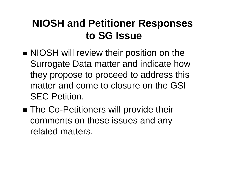### **NIOSH and Petitioner Responses to SG Issue**

- **NIOSH** will review their position on the Surrogate Data matter and indicate how they propose to proceed to address this matter and come to closure on the GSI SEC Petition.
- ■ The Co-Petitioners will provide their comments on these issues and any related matters.